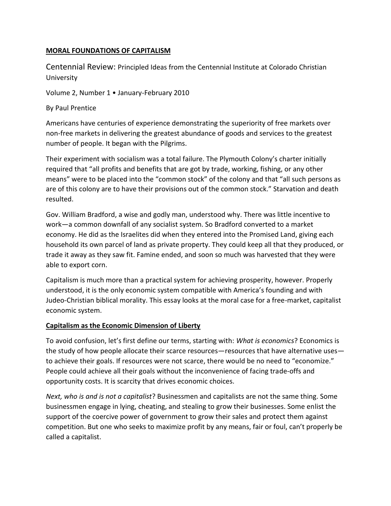### **MORAL FOUNDATIONS OF CAPITALISM**

Centennial Review: Principled Ideas from the Centennial Institute at Colorado Christian University

Volume 2, Number 1 • January-February 2010

By Paul Prentice

Americans have centuries of experience demonstrating the superiority of free markets over non-free markets in delivering the greatest abundance of goods and services to the greatest number of people. It began with the Pilgrims.

Their experiment with socialism was a total failure. The Plymouth Colony's charter initially required that "all profits and benefits that are got by trade, working, fishing, or any other means" were to be placed into the "common stock" of the colony and that "all such persons as are of this colony are to have their provisions out of the common stock." Starvation and death resulted.

Gov. William Bradford, a wise and godly man, understood why. There was little incentive to work—a common downfall of any socialist system. So Bradford converted to a market economy. He did as the Israelites did when they entered into the Promised Land, giving each household its own parcel of land as private property. They could keep all that they produced, or trade it away as they saw fit. Famine ended, and soon so much was harvested that they were able to export corn.

Capitalism is much more than a practical system for achieving prosperity, however. Properly understood, it is the only economic system compatible with America's founding and with Judeo-Christian biblical morality. This essay looks at the moral case for a free-market, capitalist economic system.

## **Capitalism as the Economic Dimension of Liberty**

To avoid confusion, let's first define our terms, starting with: *What is economics*? Economics is the study of how people allocate their scarce resources—resources that have alternative uses to achieve their goals. If resources were not scarce, there would be no need to "economize." People could achieve all their goals without the inconvenience of facing trade-offs and opportunity costs. It is scarcity that drives economic choices.

*Next, who is and is not a capitalist*? Businessmen and capitalists are not the same thing. Some businessmen engage in lying, cheating, and stealing to grow their businesses. Some enlist the support of the coercive power of government to grow their sales and protect them against competition. But one who seeks to maximize profit by any means, fair or foul, can't properly be called a capitalist.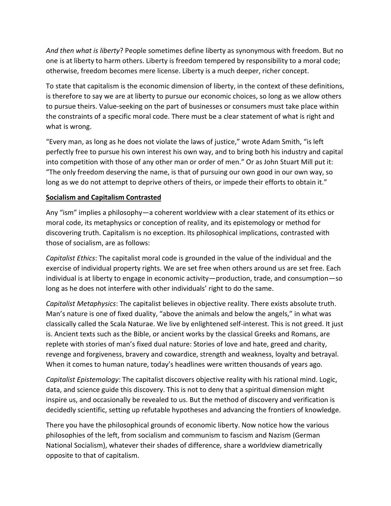*And then what is liberty*? People sometimes define liberty as synonymous with freedom. But no one is at liberty to harm others. Liberty is freedom tempered by responsibility to a moral code; otherwise, freedom becomes mere license. Liberty is a much deeper, richer concept.

To state that capitalism is the economic dimension of liberty, in the context of these definitions, is therefore to say we are at liberty to pursue our economic choices, so long as we allow others to pursue theirs. Value-seeking on the part of businesses or consumers must take place within the constraints of a specific moral code. There must be a clear statement of what is right and what is wrong.

"Every man, as long as he does not violate the laws of justice," wrote Adam Smith, "is left perfectly free to pursue his own interest his own way, and to bring both his industry and capital into competition with those of any other man or order of men." Or as John Stuart Mill put it: "The only freedom deserving the name, is that of pursuing our own good in our own way, so long as we do not attempt to deprive others of theirs, or impede their efforts to obtain it."

# **Socialism and Capitalism Contrasted**

Any "ism" implies a philosophy—a coherent worldview with a clear statement of its ethics or moral code, its metaphysics or conception of reality, and its epistemology or method for discovering truth. Capitalism is no exception. Its philosophical implications, contrasted with those of socialism, are as follows:

*Capitalist Ethics*: The capitalist moral code is grounded in the value of the individual and the exercise of individual property rights. We are set free when others around us are set free. Each individual is at liberty to engage in economic activity—production, trade, and consumption—so long as he does not interfere with other individuals' right to do the same.

*Capitalist Metaphysics*: The capitalist believes in objective reality. There exists absolute truth. Man's nature is one of fixed duality, "above the animals and below the angels," in what was classically called the Scala Naturae. We live by enlightened self-interest. This is not greed. It just is. Ancient texts such as the Bible, or ancient works by the classical Greeks and Romans, are replete with stories of man's fixed dual nature: Stories of love and hate, greed and charity, revenge and forgiveness, bravery and cowardice, strength and weakness, loyalty and betrayal. When it comes to human nature, today's headlines were written thousands of years ago.

*Capitalist Epistemology*: The capitalist discovers objective reality with his rational mind. Logic, data, and science guide this discovery. This is not to deny that a spiritual dimension might inspire us, and occasionally be revealed to us. But the method of discovery and verification is decidedly scientific, setting up refutable hypotheses and advancing the frontiers of knowledge.

There you have the philosophical grounds of economic liberty. Now notice how the various philosophies of the left, from socialism and communism to fascism and Nazism (German National Socialism), whatever their shades of difference, share a worldview diametrically opposite to that of capitalism.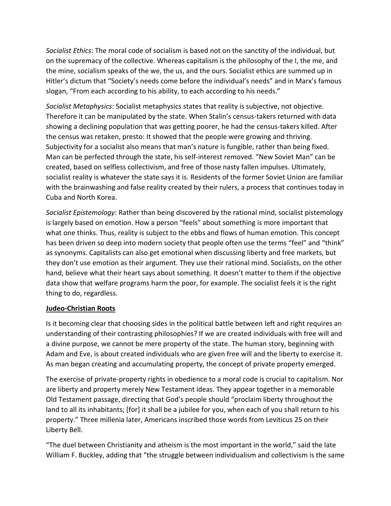*Socialist Ethics*: The moral code of socialism is based not on the sanctity of the individual, but on the supremacy of the collective. Whereas capitalism is the philosophy of the I, the me, and the mine, socialism speaks of the we, the us, and the ours. Socialist ethics are summed up in Hitler's dictum that "Society's needs come before the individual's needs" and in Marx's famous slogan, "From each according to his ability, to each according to his needs."

*Socialist Metaphysics*: Socialist metaphysics states that reality is subjective, not objective. Therefore it can be manipulated by the state. When Stalin's census-takers returned with data showing a declining population that was getting poorer, he had the census-takers killed. After the census was retaken, presto: It showed that the people were growing and thriving. Subjectivity for a socialist also means that man's nature is fungible, rather than being fixed. Man can be perfected through the state, his self-interest removed. "New Soviet Man" can be created, based on selfless collectivism, and free of those nasty fallen impulses. Ultimately, socialist reality is whatever the state says it is. Residents of the former Soviet Union are familiar with the brainwashing and false reality created by their rulers, a process that continues today in Cuba and North Korea.

*Socialist Epistemology*: Rather than being discovered by the rational mind, socialist pistemology is largely based on emotion. How a person "feels" about something is more important that what one thinks. Thus, reality is subject to the ebbs and flows of human emotion. This concept has been driven so deep into modern society that people often use the terms "feel" and "think" as synonyms. Capitalists can also get emotional when discussing liberty and free markets, but they don't use emotion as their argument. They use their rational mind. Socialists, on the other hand, believe what their heart says about something. It doesn't matter to them if the objective data show that welfare programs harm the poor, for example. The socialist feels it is the right thing to do, regardless.

#### **Judeo-Christian Roots**

Is it becoming clear that choosing sides in the political battle between left and right requires an understanding of their contrasting philosophies? If we are created individuals with free will and a divine purpose, we cannot be mere property of the state. The human story, beginning with Adam and Eve, is about created individuals who are given free will and the liberty to exercise it. As man began creating and accumulating property, the concept of private property emerged.

The exercise of private-property rights in obedience to a moral code is crucial to capitalism. Nor are liberty and property merely New Testament ideas. They appear together in a memorable Old Testament passage, directing that God's people should "proclaim liberty throughout the land to all its inhabitants; [for] it shall be a jubilee for you, when each of you shall return to his property." Three millenia later, Americans inscribed those words from Leviticus 25 on their Liberty Bell.

"The duel between Christianity and atheism is the most important in the world," said the late William F. Buckley, adding that "the struggle between individualism and collectivism is the same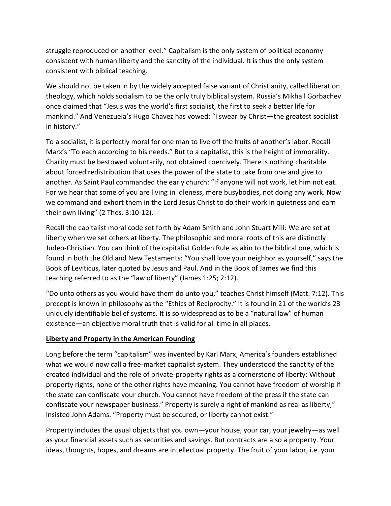struggle reproduced on another level." Capitalism is the only system of political economy consistent with human liberty and the sanctity of the individual. It is thus the only system consistent with biblical teaching.

We should not be taken in by the widely accepted false variant of Christianity, called liberation theology, which holds socialism to be the only truly biblical system. Russia's Mikhail Gorbachev once claimed that "Jesus was the world's first socialist, the first to seek a better life for mankind." And Venezuela's Hugo Chavez has vowed: "I swear by Christ—the greatest socialist in history."

To a socialist, it is perfectly moral for one man to live off the fruits of another's labor. Recall Marx's "To each according to his needs." But to a capitalist, this is the height of immorality. Charity must be bestowed voluntarily, not obtained coercively. There is nothing charitable about forced redistribution that uses the power of the state to take from one and give to another. As Saint Paul commanded the early church: "If anyone will not work, let him not eat. For we hear that some of you are living in idleness, mere busybodies, not doing any work. Now we command and exhort them in the Lord Jesus Christ to do their work in quietness and earn their own living" (2 Thes. 3:10-12).

Recall the capitalist moral code set forth by Adam Smith and John Stuart Mill: We are set at liberty when we set others at liberty. The philosophic and moral roots of this are distinctly Judeo-Christian. You can think of the capitalist Golden Rule as akin to the biblical one, which is found in both the Old and New Testaments: "You shall love your neighbor as yourself," says the Book of Leviticus, later quoted by Jesus and Paul. And in the Book of James we find this teaching referred to as the "law of liberty" (James 1:25; 2:12).

"Do unto others as you would have them do unto you," teaches Christ himself (Matt. 7:12). This precept is known in philosophy as the "Ethics of Reciprocity." It is found in 21 of the world's 23 uniquely identifiable belief systems. It is so widespread as to be a "natural law" of human existence—an objective moral truth that is valid for all time in all places.

## **Liberty and Property in the American Founding**

Long before the term "capitalism" was invented by Karl Marx, America's founders established what we would now call a free-market capitalist system. They understood the sanctity of the created individual and the role of private-property rights as a cornerstone of liberty: Without property rights, none of the other rights have meaning. You cannot have freedom of worship if the state can confiscate your church. You cannot have freedom of the press if the state can confiscate your newspaper business." Property is surely a right of mankind as real as liberty," insisted John Adams. "Property must be secured, or liberty cannot exist."

Property includes the usual objects that you own—your house, your car, your jewelry—as well as your financial assets such as securities and savings. But contracts are also a property. Your ideas, thoughts, hopes, and dreams are intellectual property. The fruit of your labor, i.e. your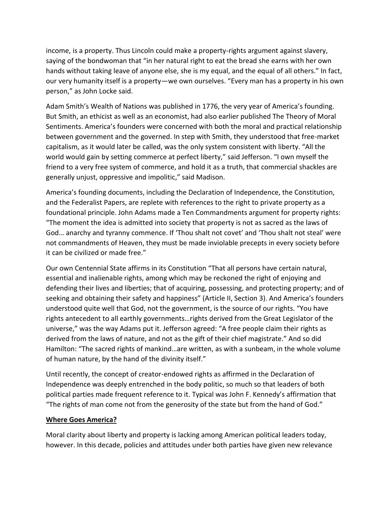income, is a property. Thus Lincoln could make a property-rights argument against slavery, saying of the bondwoman that "in her natural right to eat the bread she earns with her own hands without taking leave of anyone else, she is my equal, and the equal of all others." In fact, our very humanity itself is a property—we own ourselves. "Every man has a property in his own person," as John Locke said.

Adam Smith's Wealth of Nations was published in 1776, the very year of America's founding. But Smith, an ethicist as well as an economist, had also earlier published The Theory of Moral Sentiments. America's founders were concerned with both the moral and practical relationship between government and the governed. In step with Smith, they understood that free-market capitalism, as it would later be called, was the only system consistent with liberty. "All the world would gain by setting commerce at perfect liberty," said Jefferson. "I own myself the friend to a very free system of commerce, and hold it as a truth, that commercial shackles are generally unjust, oppressive and impolitic," said Madison.

America's founding documents, including the Declaration of Independence, the Constitution, and the Federalist Papers, are replete with references to the right to private property as a foundational principle. John Adams made a Ten Commandments argument for property rights: "The moment the idea is admitted into society that property is not as sacred as the laws of God… anarchy and tyranny commence. If 'Thou shalt not covet' and 'Thou shalt not steal' were not commandments of Heaven, they must be made inviolable precepts in every society before it can be civilized or made free."

Our own Centennial State affirms in its Constitution "That all persons have certain natural, essential and inalienable rights, among which may be reckoned the right of enjoying and defending their lives and liberties; that of acquiring, possessing, and protecting property; and of seeking and obtaining their safety and happiness" (Article II, Section 3). And America's founders understood quite well that God, not the government, is the source of our rights. "You have rights antecedent to all earthly governments…rights derived from the Great Legislator of the universe," was the way Adams put it. Jefferson agreed: "A free people claim their rights as derived from the laws of nature, and not as the gift of their chief magistrate." And so did Hamilton: "The sacred rights of mankind…are written, as with a sunbeam, in the whole volume of human nature, by the hand of the divinity itself."

Until recently, the concept of creator-endowed rights as affirmed in the Declaration of Independence was deeply entrenched in the body politic, so much so that leaders of both political parties made frequent reference to it. Typical was John F. Kennedy's affirmation that "The rights of man come not from the generosity of the state but from the hand of God."

## **Where Goes America?**

Moral clarity about liberty and property is lacking among American political leaders today, however. In this decade, policies and attitudes under both parties have given new relevance